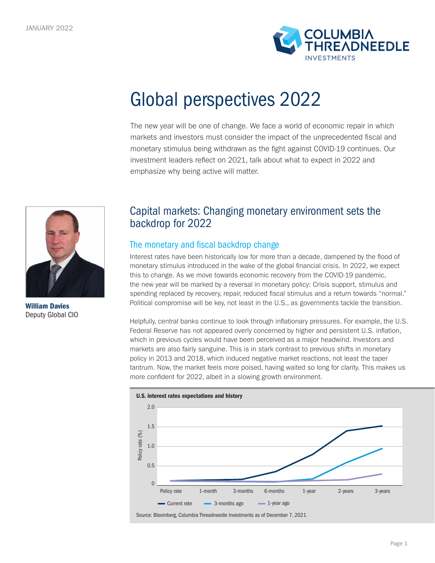

# Global perspectives 2022

The new year will be one of change. We face a world of economic repair in which markets and investors must consider the impact of the unprecedented fiscal and monetary stimulus being withdrawn as the fight against COVID-19 continues. Our investment leaders reflect on 2021, talk about what to expect in 2022 and emphasize why being active will matter.



William Davies Deputy Global CIO

## Capital markets: Changing monetary environment sets the backdrop for 2022

### The monetary and fiscal backdrop change

Interest rates have been historically low for more than a decade, dampened by the flood of monetary stimulus introduced in the wake of the global financial crisis. In 2022, we expect this to change. As we move towards economic recovery from the COVID-19 pandemic, the new year will be marked by a reversal in monetary policy: Crisis support, stimulus and spending replaced by recovery, repair, reduced fiscal stimulus and a return towards "normal." Political compromise will be key, not least in the U.S., as governments tackle the transition.

Helpfully, central banks continue to look through inflationary pressures. For example, the U.S. Federal Reserve has not appeared overly concerned by higher and persistent U.S. inflation, which in previous cycles would have been perceived as a major headwind. Investors and markets are also fairly sanguine. This is in stark contrast to previous shifts in monetary policy in 2013 and 2018, which induced negative market reactions, not least the taper tantrum. Now, the market feels more poised, having waited so long for clarity. This makes us more confident for 2022, albeit in a slowing growth environment.

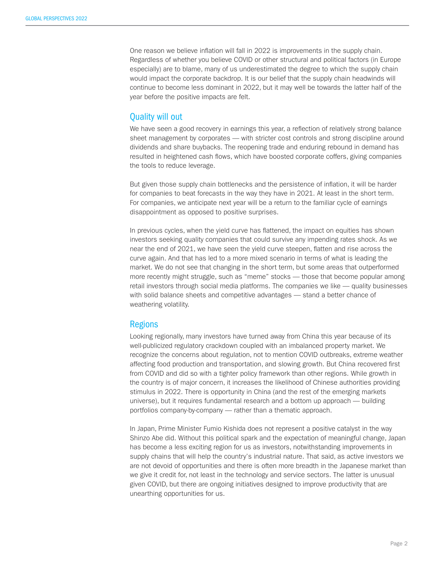One reason we believe inflation will fall in 2022 is improvements in the supply chain. Regardless of whether you believe COVID or other structural and political factors (in Europe especially) are to blame, many of us underestimated the degree to which the supply chain would impact the corporate backdrop. It is our belief that the supply chain headwinds will continue to become less dominant in 2022, but it may well be towards the latter half of the year before the positive impacts are felt.

#### Quality will out

We have seen a good recovery in earnings this year, a reflection of relatively strong balance sheet management by corporates — with stricter cost controls and strong discipline around dividends and share buybacks. The reopening trade and enduring rebound in demand has resulted in heightened cash flows, which have boosted corporate coffers, giving companies the tools to reduce leverage.

But given those supply chain bottlenecks and the persistence of inflation, it will be harder for companies to beat forecasts in the way they have in 2021. At least in the short term. For companies, we anticipate next year will be a return to the familiar cycle of earnings disappointment as opposed to positive surprises.

In previous cycles, when the yield curve has flattened, the impact on equities has shown investors seeking quality companies that could survive any impending rates shock. As we near the end of 2021, we have seen the yield curve steepen, flatten and rise across the curve again. And that has led to a more mixed scenario in terms of what is leading the market. We do not see that changing in the short term, but some areas that outperformed more recently might struggle, such as "meme" stocks — those that become popular among retail investors through social media platforms. The companies we like — quality businesses with solid balance sheets and competitive advantages — stand a better chance of weathering volatility.

#### Regions

Looking regionally, many investors have turned away from China this year because of its well-publicized regulatory crackdown coupled with an imbalanced property market. We recognize the concerns about regulation, not to mention COVID outbreaks, extreme weather affecting food production and transportation, and slowing growth. But China recovered first from COVID and did so with a tighter policy framework than other regions. While growth in the country is of major concern, it increases the likelihood of Chinese authorities providing stimulus in 2022. There is opportunity in China (and the rest of the emerging markets universe), but it requires fundamental research and a bottom up approach — building portfolios company-by-company — rather than a thematic approach.

In Japan, Prime Minister Fumio Kishida does not represent a positive catalyst in the way Shinzo Abe did. Without this political spark and the expectation of meaningful change, Japan has become a less exciting region for us as investors, notwithstanding improvements in supply chains that will help the country's industrial nature. That said, as active investors we are not devoid of opportunities and there is often more breadth in the Japanese market than we give it credit for, not least in the technology and service sectors. The latter is unusual given COVID, but there are ongoing initiatives designed to improve productivity that are unearthing opportunities for us.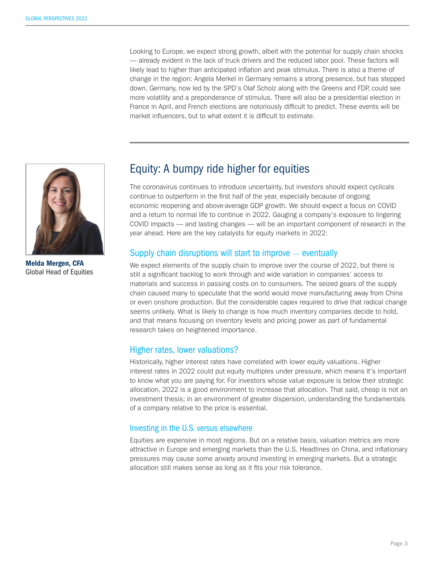Looking to Europe, we expect strong growth, albeit with the potential for supply chain shocks — already evident in the lack of truck drivers and the reduced labor pool. These factors will likely lead to higher than anticipated inflation and peak stimulus. There is also a theme of change in the region: Angela Merkel in Germany remains a strong presence, but has stepped down. Germany, now led by the SPD's Olaf Scholz along with the Greens and FDP, could see more volatility and a preponderance of stimulus. There will also be a presidential election in France in April, and French elections are notoriously difficult to predict. These events will be market influencers, but to what extent it is difficult to estimate.



Melda Mergen, CFA Global Head of Equities

## Equity: A bumpy ride higher for equities

The coronavirus continues to introduce uncertainty, but investors should expect cyclicals continue to outperform in the first half of the year, especially because of ongoing economic reopening and above-average GDP growth. We should expect a focus on COVID and a return to normal life to continue in 2022. Gauging a company's exposure to lingering COVID impacts — and lasting changes — will be an important component of research in the year ahead. Here are the key catalysts for equity markets in 2022:

#### Supply chain disruptions will start to improve — eventually

We expect elements of the supply chain to improve over the course of 2022, but there is still a significant backlog to work through and wide variation in companies' access to materials and success in passing costs on to consumers. The seized gears of the supply chain caused many to speculate that the world would move manufacturing away from China or even onshore production. But the considerable capex required to drive that radical change seems unlikely. What is likely to change is how much inventory companies decide to hold, and that means focusing on inventory levels and pricing power as part of fundamental research takes on heightened importance.

#### Higher rates, lower valuations?

Historically, higher interest rates have correlated with lower equity valuations. Higher interest rates in 2022 could put equity multiples under pressure, which means it's important to know what you are paying for. For investors whose value exposure is below their strategic allocation, 2022 is a good environment to increase that allocation. That said, cheap is not an investment thesis; in an environment of greater dispersion, understanding the fundamentals of a company relative to the price is essential.

#### Investing in the U.S. versus elsewhere

Equities are expensive in most regions. But on a relative basis, valuation metrics are more attractive in Europe and emerging markets than the U.S. Headlines on China, and inflationary pressures may cause some anxiety around investing in emerging markets. But a strategic allocation still makes sense as long as it fits your risk tolerance.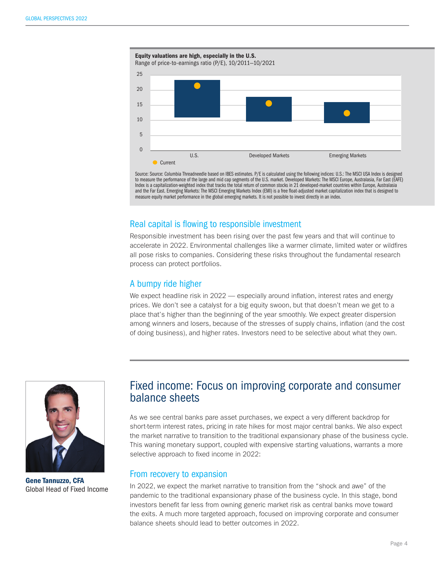

Source: Source: Columbia Threadneedle based on IBES estimates. P/E is calculated using the following indices: U.S.: The MSCI USA Index is designed to measure the performance of the large and mid cap segments of the U.S. market. Developed Markets: The MSCI Europe, Australasia, Far East (EAFE) Index is a capitalization-weighted index that tracks the total return of common stocks in 21 developed-market countries within Europe, Australasia and the Far East. Emerging Markets: The MSCI Emerging Markets Index (EMI) is a free float-adjusted market capitalization index that is designed to measure equity market performance in the global emerging markets. It is not possible to invest directly in an index.

#### Real capital is flowing to responsible investment

Responsible investment has been rising over the past few years and that will continue to accelerate in 2022. Environmental challenges like a warmer climate, limited water or wildfires all pose risks to companies. Considering these risks throughout the fundamental research process can protect portfolios.

#### A bumpy ride higher

We expect headline risk in 2022 — especially around inflation, interest rates and energy prices. We don't see a catalyst for a big equity swoon, but that doesn't mean we get to a place that's higher than the beginning of the year smoothly. We expect greater dispersion among winners and losers, because of the stresses of supply chains, inflation (and the cost of doing business), and higher rates. Investors need to be selective about what they own.



Gene Tannuzzo, CFA Global Head of Fixed Income

## Fixed income: Focus on improving corporate and consumer balance sheets

As we see central banks pare asset purchases, we expect a very different backdrop for short-term interest rates, pricing in rate hikes for most major central banks. We also expect the market narrative to transition to the traditional expansionary phase of the business cycle. This waning monetary support, coupled with expensive starting valuations, warrants a more selective approach to fixed income in 2022:

#### From recovery to expansion

In 2022, we expect the market narrative to transition from the "shock and awe" of the pandemic to the traditional expansionary phase of the business cycle. In this stage, bond investors benefit far less from owning generic market risk as central banks move toward the exits. A much more targeted approach, focused on improving corporate and consumer balance sheets should lead to better outcomes in 2022.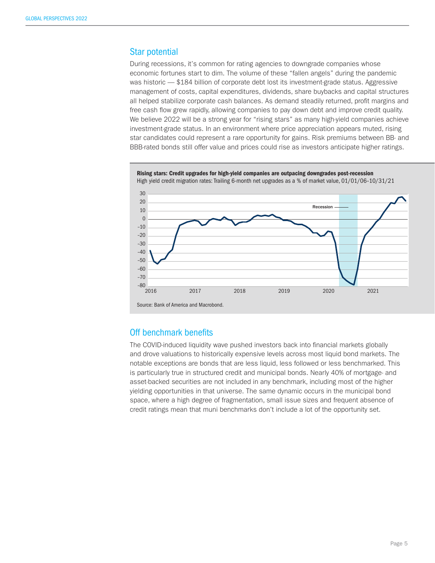#### Star potential

During recessions, it's common for rating agencies to downgrade companies whose economic fortunes start to dim. The volume of these "fallen angels" during the pandemic was historic — \$184 billion of corporate debt lost its investment-grade status. Aggressive management of costs, capital expenditures, dividends, share buybacks and capital structures all helped stabilize corporate cash balances. As demand steadily returned, profit margins and free cash flow grew rapidly, allowing companies to pay down debt and improve credit quality. We believe 2022 will be a strong year for "rising stars" as many high-yield companies achieve investment-grade status. In an environment where price appreciation appears muted, rising star candidates could represent a rare opportunity for gains. Risk premiums between BB- and BBB-rated bonds still offer value and prices could rise as investors anticipate higher ratings.



#### Off benchmark benefits

The COVID-induced liquidity wave pushed investors back into financial markets globally and drove valuations to historically expensive levels across most liquid bond markets. The notable exceptions are bonds that are less liquid, less followed or less benchmarked. This is particularly true in structured credit and municipal bonds. Nearly 40% of mortgage- and asset-backed securities are not included in any benchmark, including most of the higher yielding opportunities in that universe. The same dynamic occurs in the municipal bond space, where a high degree of fragmentation, small issue sizes and frequent absence of credit ratings mean that muni benchmarks don't include a lot of the opportunity set.